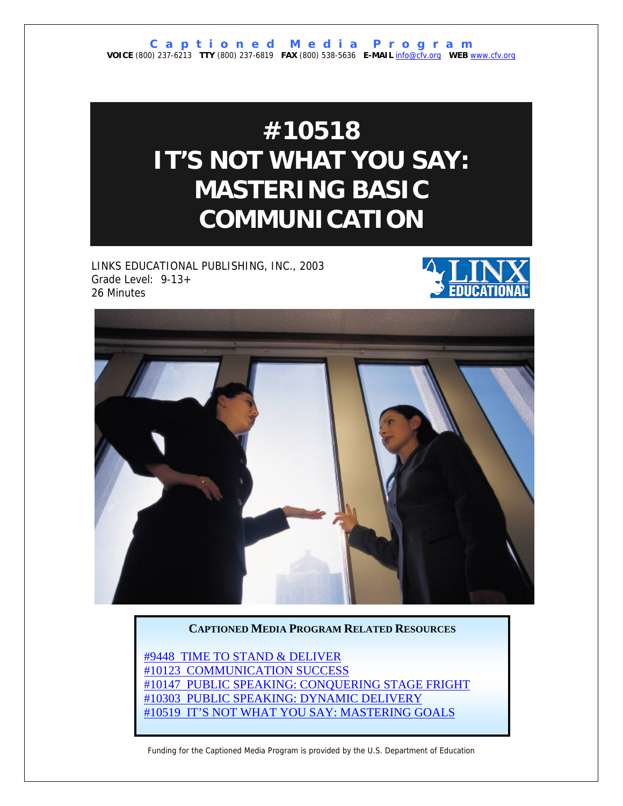# **#10518 IT'S NOT WHAT YOU SAY: MASTERING BASIC COMMUNICATION**

LINKS EDUCATIONAL PUBLISHING, INC., 2003 Grade Level: 9-13+ 26 Minutes





#### **CAPTIONED MEDIA PROGRAM RELATED RESOURCES**

[#9448 TIME TO STAND & DELIVER](http://www.captionedmedia.org/titledetail.asp?dn=9448) [#10123 COMMUNICATION SUCCESS](http://www.captionedmedia.org/titledetail.asp?dn=10123) [#10147 PUBLIC SPEAKING: CONQUERING STAGE FRIGHT](http://www.captionedmedia.org/titledetail.asp?dn=10147) [#10303 PUBLIC SPEAKING: DYNAMIC DELIVERY](http://www.captionedmedia.org/titledetail.asp?dn=10303) [#10519 IT'S NOT WHAT YOU SAY: MASTERING GOALS](http://www.captionedmedia.org/titledetail.asp?dn=10519)

Funding for the Captioned Media Program is provided by the U.S. Department of Education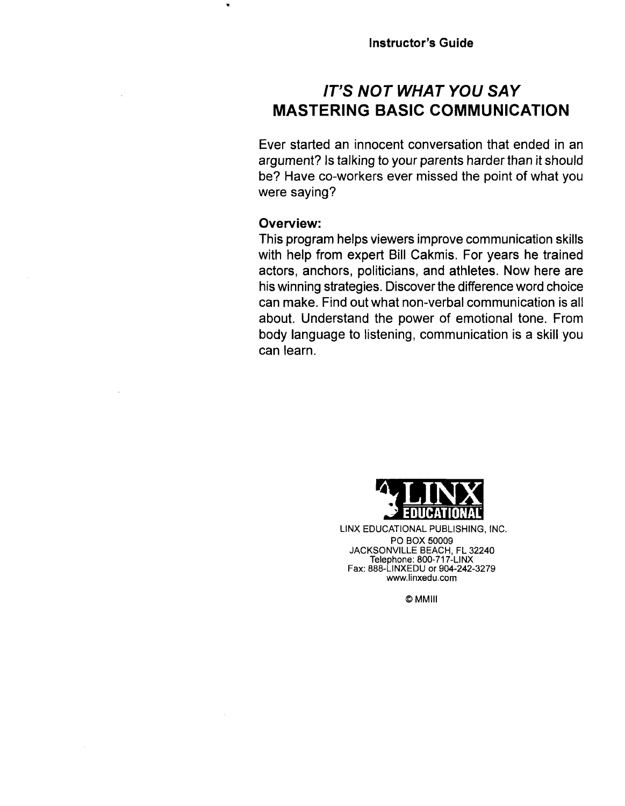# **IT'S NOT WHAT YOU SAY MASTERING BASIC COMMUNICATION**

Ever started an innocent conversation that ended in an argument? Is talking to your parents harder than it should be? Have co-workers ever missed the point of what you were saying?

# **Overview:**

This program helps viewers improve communication skills with help from expert Bill Cakmis. For years he trained actors, anchors, politicians, and athletes. Now here are his winning strategies. Discover the difference word choice can make. Find out what non-verbal communication is all about. Understand the power of emotional tone. From body language to listening, communication is a skill you can learn.



LINX EDUCATIONAL PUBLISHING, INC. PO BOX 50009 JACKSONVILLE BEACH, FL 32240 Telephone: 800-717-LINX Fax: 888-LINXEDU or 904-242-3279 www.linxedu.com

**OMMIII**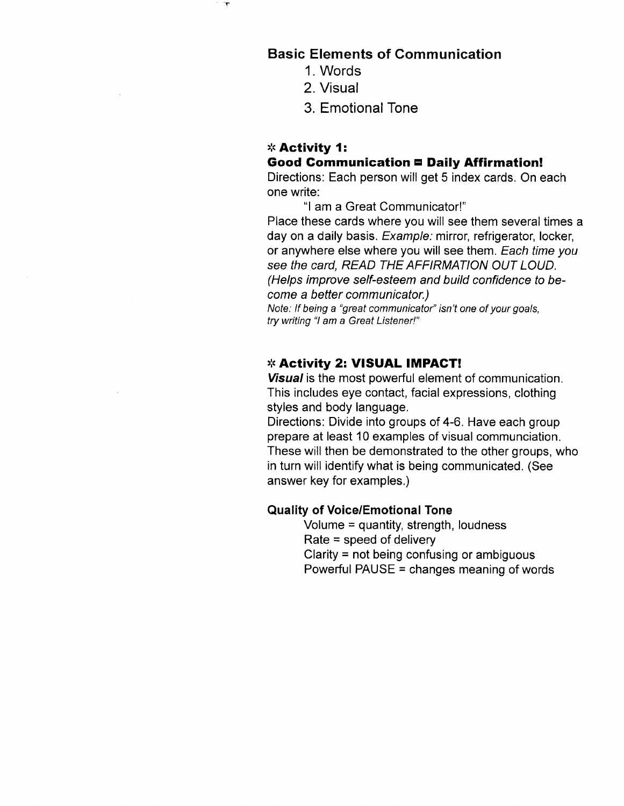# **Basic Elements of Communication**

- 1. Words
- 2. Visual
- 3. Emotional Tone

### \* **Activity I: Good Communication □ Daily Affirmation!**

Directions: Each person will get 5 index cards. On each one write:

"I am a Great Communicator!"

Place these cards where you will see them several times a day on a daily basis. Example: mirror, refrigerator, locker, or anywhere else where you will see them. Each time you see the card, READ THE AFFIRMATION OUT LOUD. (Helps improve self-esteem and build confidence to become a better communicator.)

Note: If being a "great communicator" isn't one of your goals, try writing "I am a Great Listener!''

#### **f& Activity 2: VISUAL IMPACT!**

**Visual** is the most powerful element of communication. This includes eye contact, facial expressions, clothing styles and body language.

Directions: Divide into groups of 4-6. Have each group prepare at least 10 examples of visual communciation. These will then be demonstrated to the other groups, who in turn will identify what is being communicated. (See answer key for examples.)

#### **Quality of Voice/Emotional Tone**

Volume = quantity, strength, loudness  $Rate = speed of delivery$ Clarity = not being confusing or ambiguous Powerful PAUSE = changes meaning of words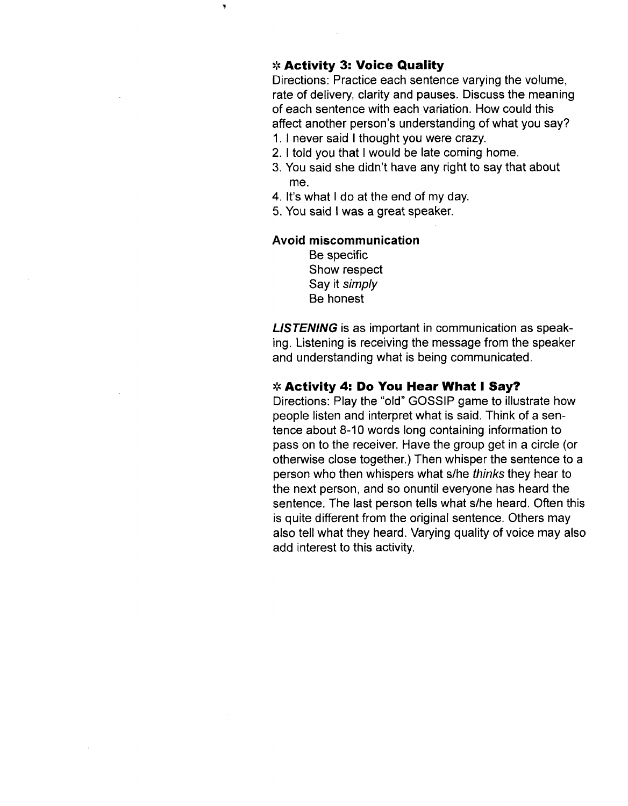# **Activity 3: Voice Quality**

 $\blacksquare$ 

Directions: Practice each sentence varying the volume, rate of delivery, clarity and pauses. Discuss the meaning of each sentence with each variation. How could this affect another person's understanding of what you say?

- 1. 1 never said I thought you were crazy.
- 2. 1 told you that I would be late coming home.
- 3. You said she didn't have any right to say that about me.
- **4.** It's what I do at the end of my day.
- 5. You said I was a great speaker.

#### **Avoid miscommunication**

Be specific Show respect Say it simply Be honest

**LISTENING** is as important in communication as speaking. Listening is receiving the message from the speaker and understanding what is being communicated.

#### \* **Activity 4: Do You Hear What I Say?**

Directions: Play the "old" GOSSIP game to illustrate how people listen and interpret what is said. Think of a sentence about 8-10 words long containing information to pass on to the receiver. Have the group get in a circle (or otherwise close together.) Then whisper the sentence to a person who then whispers what s/he thinks they hear to the next person, and so onuntil everyone has heard the sentence. The last person tells what s/he heard. Often this is quite different from the original sentence. Others may also tell what they heard. Varying quality of voice may also add interest to this activity.